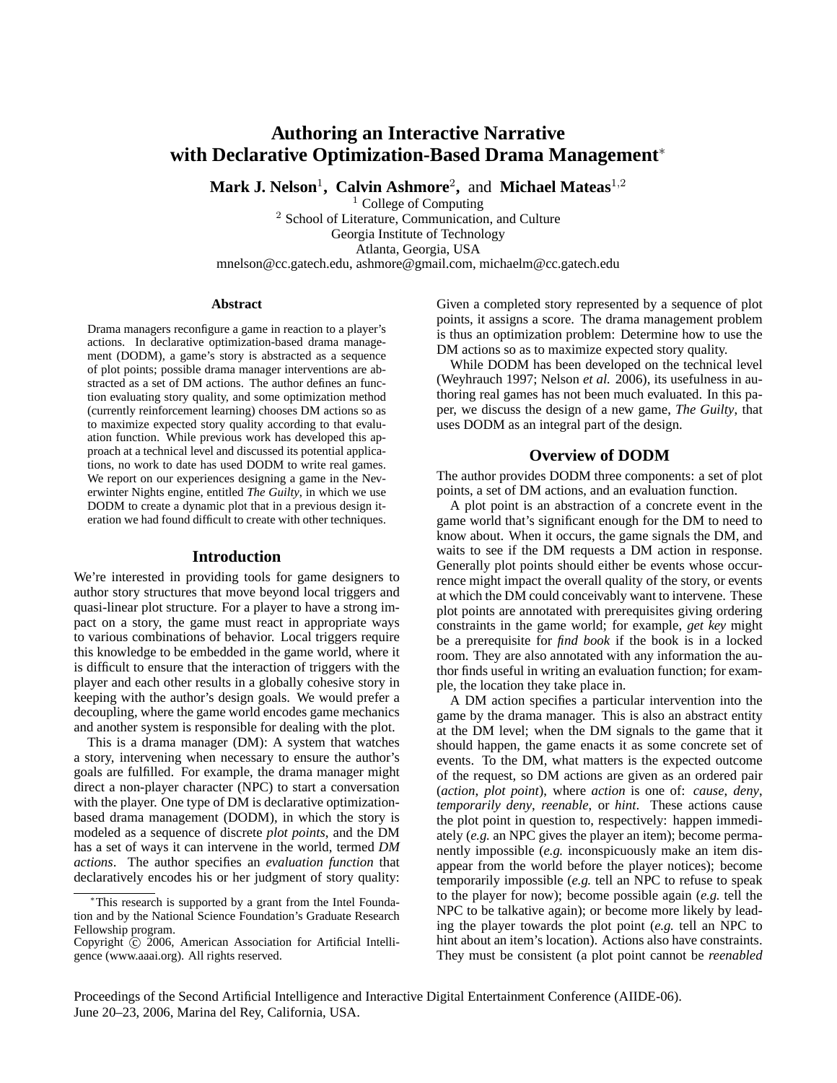# **Authoring an Interactive Narrative with Declarative Optimization-Based Drama Management**<sup>∗</sup>

**Mark J. Nelson**<sup>1</sup> **, Calvin Ashmore**<sup>2</sup> **,** and **Michael Mateas**<sup>1</sup>,<sup>2</sup>

 $1$  College of Computing <sup>2</sup> School of Literature, Communication, and Culture Georgia Institute of Technology Atlanta, Georgia, USA mnelson@cc.gatech.edu, ashmore@gmail.com, michaelm@cc.gatech.edu

#### **Abstract**

Drama managers reconfigure a game in reaction to a player's actions. In declarative optimization-based drama management (DODM), a game's story is abstracted as a sequence of plot points; possible drama manager interventions are abstracted as a set of DM actions. The author defines an function evaluating story quality, and some optimization method (currently reinforcement learning) chooses DM actions so as to maximize expected story quality according to that evaluation function. While previous work has developed this approach at a technical level and discussed its potential applications, no work to date has used DODM to write real games. We report on our experiences designing a game in the Neverwinter Nights engine, entitled *The Guilty*, in which we use DODM to create a dynamic plot that in a previous design iteration we had found difficult to create with other techniques.

#### **Introduction**

We're interested in providing tools for game designers to author story structures that move beyond local triggers and quasi-linear plot structure. For a player to have a strong impact on a story, the game must react in appropriate ways to various combinations of behavior. Local triggers require this knowledge to be embedded in the game world, where it is difficult to ensure that the interaction of triggers with the player and each other results in a globally cohesive story in keeping with the author's design goals. We would prefer a decoupling, where the game world encodes game mechanics and another system is responsible for dealing with the plot.

This is a drama manager (DM): A system that watches a story, intervening when necessary to ensure the author's goals are fulfilled. For example, the drama manager might direct a non-player character (NPC) to start a conversation with the player. One type of DM is declarative optimizationbased drama management (DODM), in which the story is modeled as a sequence of discrete *plot points*, and the DM has a set of ways it can intervene in the world, termed *DM actions*. The author specifies an *evaluation function* that declaratively encodes his or her judgment of story quality:

Given a completed story represented by a sequence of plot points, it assigns a score. The drama management problem is thus an optimization problem: Determine how to use the DM actions so as to maximize expected story quality.

While DODM has been developed on the technical level (Weyhrauch 1997; Nelson *et al.* 2006), its usefulness in authoring real games has not been much evaluated. In this paper, we discuss the design of a new game, *The Guilty*, that uses DODM as an integral part of the design.

#### **Overview of DODM**

The author provides DODM three components: a set of plot points, a set of DM actions, and an evaluation function.

A plot point is an abstraction of a concrete event in the game world that's significant enough for the DM to need to know about. When it occurs, the game signals the DM, and waits to see if the DM requests a DM action in response. Generally plot points should either be events whose occurrence might impact the overall quality of the story, or events at which the DM could conceivably want to intervene. These plot points are annotated with prerequisites giving ordering constraints in the game world; for example, *get key* might be a prerequisite for *find book* if the book is in a locked room. They are also annotated with any information the author finds useful in writing an evaluation function; for example, the location they take place in.

A DM action specifies a particular intervention into the game by the drama manager. This is also an abstract entity at the DM level; when the DM signals to the game that it should happen, the game enacts it as some concrete set of events. To the DM, what matters is the expected outcome of the request, so DM actions are given as an ordered pair (*action*, *plot point*), where *action* is one of: *cause*, *deny*, *temporarily deny*, *reenable*, or *hint*. These actions cause the plot point in question to, respectively: happen immediately (*e.g.* an NPC gives the player an item); become permanently impossible (*e.g.* inconspicuously make an item disappear from the world before the player notices); become temporarily impossible (*e.g.* tell an NPC to refuse to speak to the player for now); become possible again (*e.g.* tell the NPC to be talkative again); or become more likely by leading the player towards the plot point (*e.g.* tell an NPC to hint about an item's location). Actions also have constraints. They must be consistent (a plot point cannot be *reenabled*

Proceedings of the Second Artificial Intelligence and Interactive Digital Entertainment Conference (AIIDE-06). June 20–23, 2006, Marina del Rey, California, USA.

This research is supported by a grant from the Intel Foundation and by the National Science Foundation's Graduate Research Fellowship program.

Copyright  $\odot$  2006, American Association for Artificial Intelligence (www.aaai.org). All rights reserved.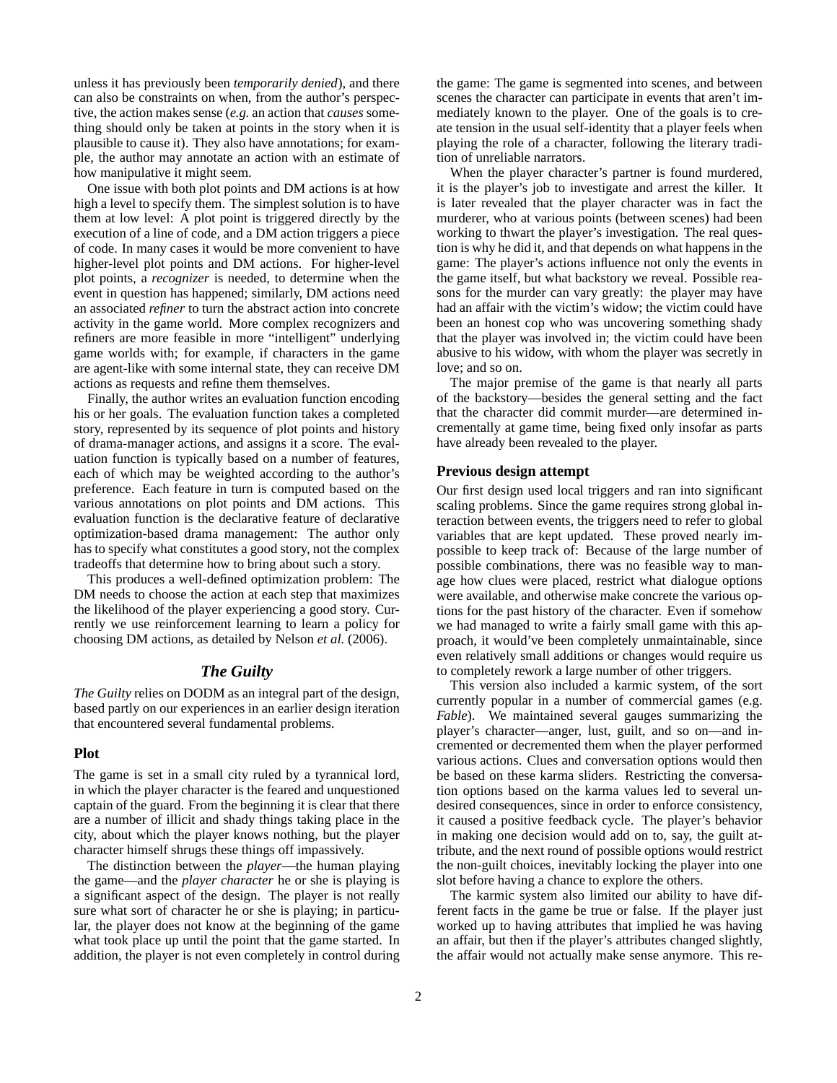unless it has previously been *temporarily denied*), and there can also be constraints on when, from the author's perspective, the action makes sense (*e.g.* an action that *causes* something should only be taken at points in the story when it is plausible to cause it). They also have annotations; for example, the author may annotate an action with an estimate of how manipulative it might seem.

One issue with both plot points and DM actions is at how high a level to specify them. The simplest solution is to have them at low level: A plot point is triggered directly by the execution of a line of code, and a DM action triggers a piece of code. In many cases it would be more convenient to have higher-level plot points and DM actions. For higher-level plot points, a *recognizer* is needed, to determine when the event in question has happened; similarly, DM actions need an associated *refiner* to turn the abstract action into concrete activity in the game world. More complex recognizers and refiners are more feasible in more "intelligent" underlying game worlds with; for example, if characters in the game are agent-like with some internal state, they can receive DM actions as requests and refine them themselves.

Finally, the author writes an evaluation function encoding his or her goals. The evaluation function takes a completed story, represented by its sequence of plot points and history of drama-manager actions, and assigns it a score. The evaluation function is typically based on a number of features, each of which may be weighted according to the author's preference. Each feature in turn is computed based on the various annotations on plot points and DM actions. This evaluation function is the declarative feature of declarative optimization-based drama management: The author only has to specify what constitutes a good story, not the complex tradeoffs that determine how to bring about such a story.

This produces a well-defined optimization problem: The DM needs to choose the action at each step that maximizes the likelihood of the player experiencing a good story. Currently we use reinforcement learning to learn a policy for choosing DM actions, as detailed by Nelson *et al.* (2006).

## *The Guilty*

*The Guilty* relies on DODM as an integral part of the design, based partly on our experiences in an earlier design iteration that encountered several fundamental problems.

#### **Plot**

The game is set in a small city ruled by a tyrannical lord, in which the player character is the feared and unquestioned captain of the guard. From the beginning it is clear that there are a number of illicit and shady things taking place in the city, about which the player knows nothing, but the player character himself shrugs these things off impassively.

The distinction between the *player*—the human playing the game—and the *player character* he or she is playing is a significant aspect of the design. The player is not really sure what sort of character he or she is playing; in particular, the player does not know at the beginning of the game what took place up until the point that the game started. In addition, the player is not even completely in control during the game: The game is segmented into scenes, and between scenes the character can participate in events that aren't immediately known to the player. One of the goals is to create tension in the usual self-identity that a player feels when playing the role of a character, following the literary tradition of unreliable narrators.

When the player character's partner is found murdered, it is the player's job to investigate and arrest the killer. It is later revealed that the player character was in fact the murderer, who at various points (between scenes) had been working to thwart the player's investigation. The real question is why he did it, and that depends on what happens in the game: The player's actions influence not only the events in the game itself, but what backstory we reveal. Possible reasons for the murder can vary greatly: the player may have had an affair with the victim's widow; the victim could have been an honest cop who was uncovering something shady that the player was involved in; the victim could have been abusive to his widow, with whom the player was secretly in love; and so on.

The major premise of the game is that nearly all parts of the backstory—besides the general setting and the fact that the character did commit murder—are determined incrementally at game time, being fixed only insofar as parts have already been revealed to the player.

## **Previous design attempt**

Our first design used local triggers and ran into significant scaling problems. Since the game requires strong global interaction between events, the triggers need to refer to global variables that are kept updated. These proved nearly impossible to keep track of: Because of the large number of possible combinations, there was no feasible way to manage how clues were placed, restrict what dialogue options were available, and otherwise make concrete the various options for the past history of the character. Even if somehow we had managed to write a fairly small game with this approach, it would've been completely unmaintainable, since even relatively small additions or changes would require us to completely rework a large number of other triggers.

This version also included a karmic system, of the sort currently popular in a number of commercial games (e.g. *Fable*). We maintained several gauges summarizing the player's character—anger, lust, guilt, and so on—and incremented or decremented them when the player performed various actions. Clues and conversation options would then be based on these karma sliders. Restricting the conversation options based on the karma values led to several undesired consequences, since in order to enforce consistency, it caused a positive feedback cycle. The player's behavior in making one decision would add on to, say, the guilt attribute, and the next round of possible options would restrict the non-guilt choices, inevitably locking the player into one slot before having a chance to explore the others.

The karmic system also limited our ability to have different facts in the game be true or false. If the player just worked up to having attributes that implied he was having an affair, but then if the player's attributes changed slightly, the affair would not actually make sense anymore. This re